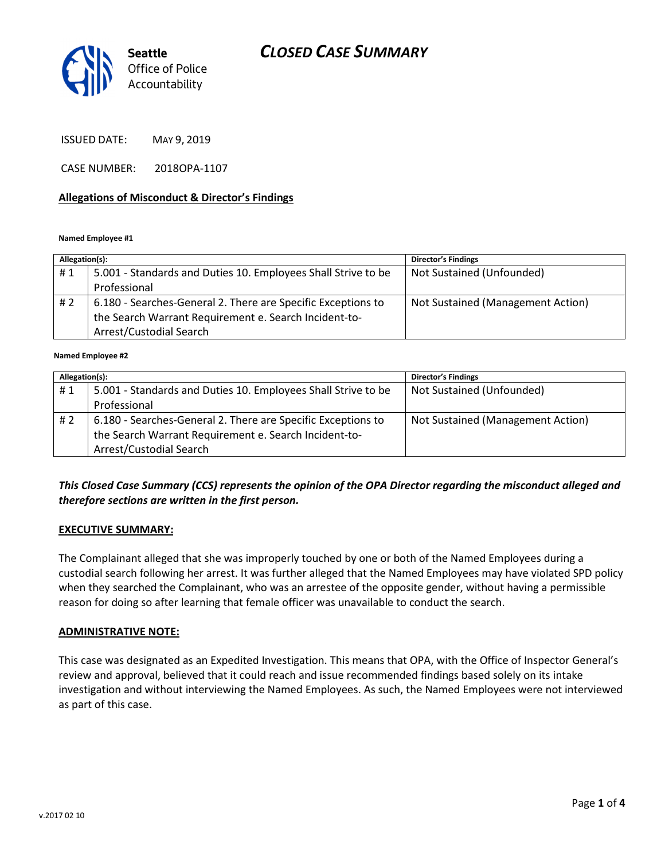# CLOSED CASE SUMMARY



ISSUED DATE: MAY 9, 2019

CASE NUMBER: 2018OPA-1107

### Allegations of Misconduct & Director's Findings

#### Named Employee #1

| Not Sustained (Unfounded)<br>5.001 - Standards and Duties 10. Employees Shall Strive to be<br>#1                                                        |                                   |
|---------------------------------------------------------------------------------------------------------------------------------------------------------|-----------------------------------|
|                                                                                                                                                         |                                   |
| Professional                                                                                                                                            |                                   |
| 6.180 - Searches-General 2. There are Specific Exceptions to<br># 2<br>the Search Warrant Requirement e. Search Incident-to-<br>Arrest/Custodial Search | Not Sustained (Management Action) |

#### Named Employee #2

| Allegation(s): |                                                               | <b>Director's Findings</b>        |  |
|----------------|---------------------------------------------------------------|-----------------------------------|--|
| #1             | 5.001 - Standards and Duties 10. Employees Shall Strive to be | Not Sustained (Unfounded)         |  |
|                | Professional                                                  |                                   |  |
| #2             | 6.180 - Searches-General 2. There are Specific Exceptions to  | Not Sustained (Management Action) |  |
|                | the Search Warrant Requirement e. Search Incident-to-         |                                   |  |
|                | Arrest/Custodial Search                                       |                                   |  |

## This Closed Case Summary (CCS) represents the opinion of the OPA Director regarding the misconduct alleged and therefore sections are written in the first person.

#### EXECUTIVE SUMMARY:

The Complainant alleged that she was improperly touched by one or both of the Named Employees during a custodial search following her arrest. It was further alleged that the Named Employees may have violated SPD policy when they searched the Complainant, who was an arrestee of the opposite gender, without having a permissible reason for doing so after learning that female officer was unavailable to conduct the search.

#### ADMINISTRATIVE NOTE:

This case was designated as an Expedited Investigation. This means that OPA, with the Office of Inspector General's review and approval, believed that it could reach and issue recommended findings based solely on its intake investigation and without interviewing the Named Employees. As such, the Named Employees were not interviewed as part of this case.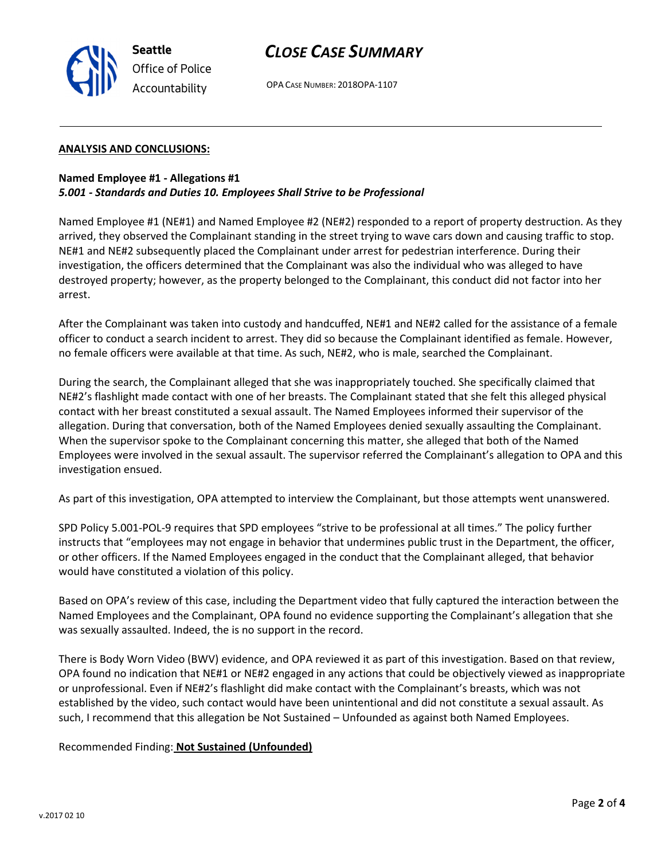

## CLOSE CASE SUMMARY

OPA CASE NUMBER: 2018OPA-1107

### ANALYSIS AND CONCLUSIONS:

## Named Employee #1 - Allegations #1 5.001 - Standards and Duties 10. Employees Shall Strive to be Professional

Named Employee #1 (NE#1) and Named Employee #2 (NE#2) responded to a report of property destruction. As they arrived, they observed the Complainant standing in the street trying to wave cars down and causing traffic to stop. NE#1 and NE#2 subsequently placed the Complainant under arrest for pedestrian interference. During their investigation, the officers determined that the Complainant was also the individual who was alleged to have destroyed property; however, as the property belonged to the Complainant, this conduct did not factor into her arrest.

After the Complainant was taken into custody and handcuffed, NE#1 and NE#2 called for the assistance of a female officer to conduct a search incident to arrest. They did so because the Complainant identified as female. However, no female officers were available at that time. As such, NE#2, who is male, searched the Complainant.

During the search, the Complainant alleged that she was inappropriately touched. She specifically claimed that NE#2's flashlight made contact with one of her breasts. The Complainant stated that she felt this alleged physical contact with her breast constituted a sexual assault. The Named Employees informed their supervisor of the allegation. During that conversation, both of the Named Employees denied sexually assaulting the Complainant. When the supervisor spoke to the Complainant concerning this matter, she alleged that both of the Named Employees were involved in the sexual assault. The supervisor referred the Complainant's allegation to OPA and this investigation ensued.

As part of this investigation, OPA attempted to interview the Complainant, but those attempts went unanswered.

SPD Policy 5.001-POL-9 requires that SPD employees "strive to be professional at all times." The policy further instructs that "employees may not engage in behavior that undermines public trust in the Department, the officer, or other officers. If the Named Employees engaged in the conduct that the Complainant alleged, that behavior would have constituted a violation of this policy.

Based on OPA's review of this case, including the Department video that fully captured the interaction between the Named Employees and the Complainant, OPA found no evidence supporting the Complainant's allegation that she was sexually assaulted. Indeed, the is no support in the record.

There is Body Worn Video (BWV) evidence, and OPA reviewed it as part of this investigation. Based on that review, OPA found no indication that NE#1 or NE#2 engaged in any actions that could be objectively viewed as inappropriate or unprofessional. Even if NE#2's flashlight did make contact with the Complainant's breasts, which was not established by the video, such contact would have been unintentional and did not constitute a sexual assault. As such, I recommend that this allegation be Not Sustained – Unfounded as against both Named Employees.

Recommended Finding: Not Sustained (Unfounded)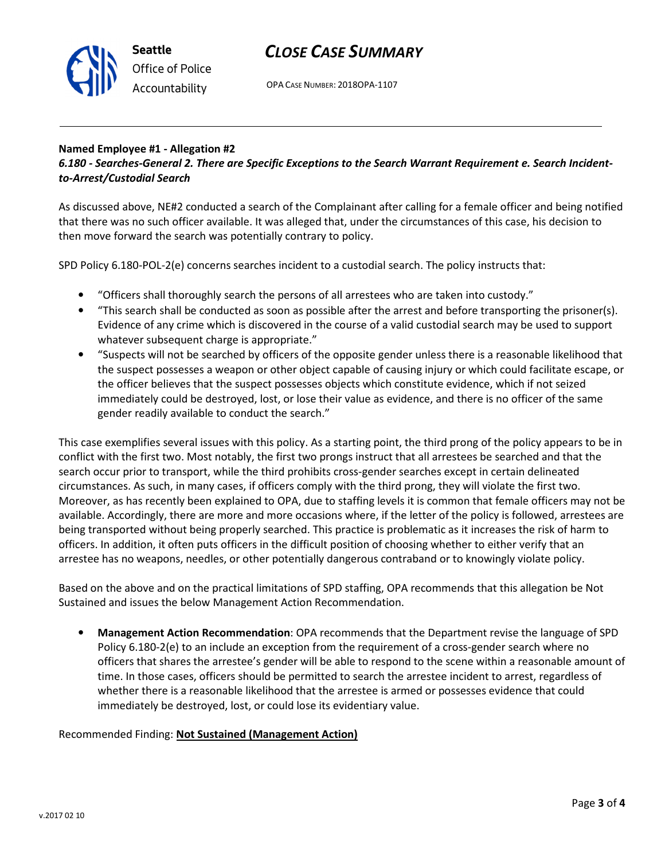

## CLOSE CASE SUMMARY

OPA CASE NUMBER: 2018OPA-1107

### Named Employee #1 - Allegation #2 6.180 - Searches-General 2. There are Specific Exceptions to the Search Warrant Requirement e. Search Incidentto-Arrest/Custodial Search

As discussed above, NE#2 conducted a search of the Complainant after calling for a female officer and being notified that there was no such officer available. It was alleged that, under the circumstances of this case, his decision to then move forward the search was potentially contrary to policy.

SPD Policy 6.180-POL-2(e) concerns searches incident to a custodial search. The policy instructs that:

- "Officers shall thoroughly search the persons of all arrestees who are taken into custody."
- "This search shall be conducted as soon as possible after the arrest and before transporting the prisoner(s). Evidence of any crime which is discovered in the course of a valid custodial search may be used to support whatever subsequent charge is appropriate."
- "Suspects will not be searched by officers of the opposite gender unless there is a reasonable likelihood that the suspect possesses a weapon or other object capable of causing injury or which could facilitate escape, or the officer believes that the suspect possesses objects which constitute evidence, which if not seized immediately could be destroyed, lost, or lose their value as evidence, and there is no officer of the same gender readily available to conduct the search."

This case exemplifies several issues with this policy. As a starting point, the third prong of the policy appears to be in conflict with the first two. Most notably, the first two prongs instruct that all arrestees be searched and that the search occur prior to transport, while the third prohibits cross-gender searches except in certain delineated circumstances. As such, in many cases, if officers comply with the third prong, they will violate the first two. Moreover, as has recently been explained to OPA, due to staffing levels it is common that female officers may not be available. Accordingly, there are more and more occasions where, if the letter of the policy is followed, arrestees are being transported without being properly searched. This practice is problematic as it increases the risk of harm to officers. In addition, it often puts officers in the difficult position of choosing whether to either verify that an arrestee has no weapons, needles, or other potentially dangerous contraband or to knowingly violate policy.

Based on the above and on the practical limitations of SPD staffing, OPA recommends that this allegation be Not Sustained and issues the below Management Action Recommendation.

• Management Action Recommendation: OPA recommends that the Department revise the language of SPD Policy 6.180-2(e) to an include an exception from the requirement of a cross-gender search where no officers that shares the arrestee's gender will be able to respond to the scene within a reasonable amount of time. In those cases, officers should be permitted to search the arrestee incident to arrest, regardless of whether there is a reasonable likelihood that the arrestee is armed or possesses evidence that could immediately be destroyed, lost, or could lose its evidentiary value.

## Recommended Finding: Not Sustained (Management Action)